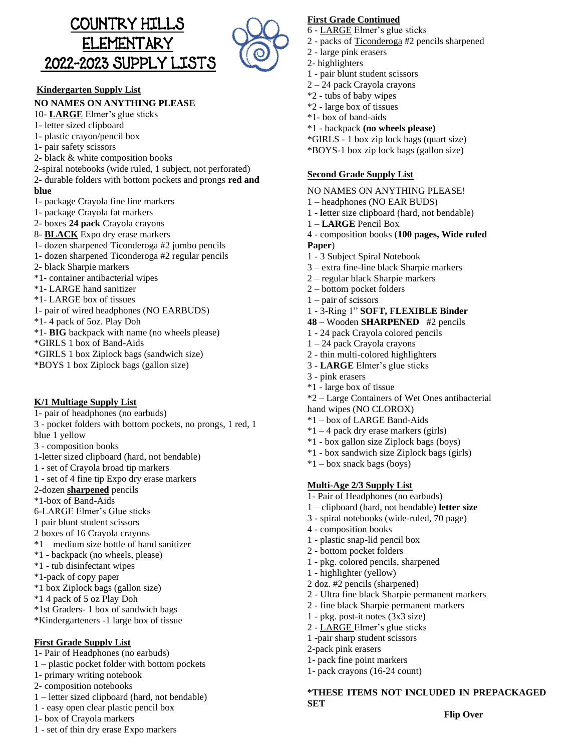



#### **Kindergarten Supply List**

#### **NO NAMES ON ANYTHING PLEASE**

#### 10- **LARGE** Elmer's glue sticks

- 1- letter sized clipboard
- 1- plastic crayon/pencil box
- 1- pair safety scissors
- 2- black & white composition books
- 2-spiral notebooks (wide ruled, 1 subject, not perforated)
- 2- durable folders with bottom pockets and prongs **red and blue**
- 1- package Crayola fine line markers
- 1- package Crayola fat markers
- 2- boxes **24 pack** Crayola crayons
- 8- **BLACK** Expo dry erase markers
- 1- dozen sharpened Ticonderoga #2 jumbo pencils
- 1- dozen sharpened Ticonderoga #2 regular pencils
- 2- black Sharpie markers
- \*1- container antibacterial wipes
- \*1- LARGE hand sanitizer
- \*1- LARGE box of tissues
- 1- pair of wired headphones (NO EARBUDS)
- \*1- 4 pack of 5oz. Play Doh
- \*1- **BIG** backpack with name (no wheels please)
- \*GIRLS 1 box of Band-Aids
- \*GIRLS 1 box Ziplock bags (sandwich size)
- \*BOYS 1 box Ziplock bags (gallon size)

#### **K/1 Multiage Supply List**

- 1- pair of headphones (no earbuds)
- 3 pocket folders with bottom pockets, no prongs, 1 red, 1 blue 1 yellow
- 3 composition books
- 
- 1-letter sized clipboard (hard, not bendable)
- 1 set of Crayola broad tip markers
- 1 set of 4 fine tip Expo dry erase markers
- 2-dozen **sharpened** pencils
- \*1-box of Band-Aids
- 6-LARGE Elmer's Glue sticks
- 1 pair blunt student scissors
- 2 boxes of 16 Crayola crayons
- \*1 medium size bottle of hand sanitizer
- \*1 backpack (no wheels, please)
- \*1 tub disinfectant wipes
- \*1-pack of copy paper
- \*1 box Ziplock bags (gallon size)
- \*1 4 pack of 5 oz Play Doh
- \*1st Graders- 1 box of sandwich bags
- \*Kindergarteners -1 large box of tissue

#### **First Grade Supply List**

- 1- Pair of Headphones (no earbuds)
- 1 plastic pocket folder with bottom pockets
- 1- primary writing notebook
- 2- composition notebooks
- 1 letter sized clipboard (hard, not bendable)
- 1 easy open clear plastic pencil box
- 1- box of Crayola markers
- 1 set of thin dry erase Expo markers

#### **First Grade Continued**

- 6 LARGE Elmer's glue sticks
- 2 packs of Ticonderoga #2 pencils sharpened
- 2 large pink erasers
- 2- highlighters
- 1 pair blunt student scissors
- 2 24 pack Crayola crayons
- \*2 tubs of baby wipes
- \*2 large box of tissues
- \*1- box of band-aids
- \*1 backpack **(no wheels please)**
- \*GIRLS 1 box zip lock bags (quart size)
- \*BOYS-1 box zip lock bags (gallon size)

#### **Second Grade Supply List**

- NO NAMES ON ANYTHING PLEASE!
- 1 headphones (NO EAR BUDS)
- 1 **l**etter size clipboard (hard, not bendable)
- 1 **LARGE** Pencil Box
- 4 composition books (**100 pages, Wide ruled**
- **Paper**)
- 1 3 Subject Spiral Notebook
- 3 extra fine-line black Sharpie markers
- 2 regular black Sharpie markers
- 2 bottom pocket folders
- 1 pair of scissors
- 1 3-Ring 1" **SOFT, FLEXIBLE Binder**
- **48** Wooden **SHARPENED** #2 pencils
- 1 24 pack Crayola colored pencils
- 1 24 pack Crayola crayons
- 2 thin multi-colored highlighters
- 3 **LARGE** Elmer's glue sticks
- 3 pink erasers
- \*1 large box of tissue
- \*2 Large Containers of Wet Ones antibacterial
- hand wipes (NO CLOROX)
- \*1 box of LARGE Band-Aids
- $*1 4$  pack dry erase markers (girls)
- \*1 box gallon size Ziplock bags (boys)
- \*1 box sandwich size Ziplock bags (girls)
- $*1 -$ box snack bags (boys)

#### **Multi-Age 2/3 Supply List**

4 - composition books 1 - plastic snap-lid pencil box 2 - bottom pocket folders

1 - highlighter (yellow) 2 doz. #2 pencils (sharpened)

2-pack pink erasers 1- pack fine point markers 1- pack crayons (16-24 count)

**SET**

1- Pair of Headphones (no earbuds)

1 - pkg. colored pencils, sharpened

1 - pkg. post-it notes (3x3 size) 2 - LARGE Elmer's glue sticks 1 -pair sharp student scissors

1 – clipboard (hard, not bendable) **letter size** 3 - spiral notebooks (wide-ruled, 70 page)

2 - Ultra fine black Sharpie permanent markers 2 - fine black Sharpie permanent markers

**\*THESE ITEMS NOT INCLUDED IN PREPACKAGED** 

**Flip Over**